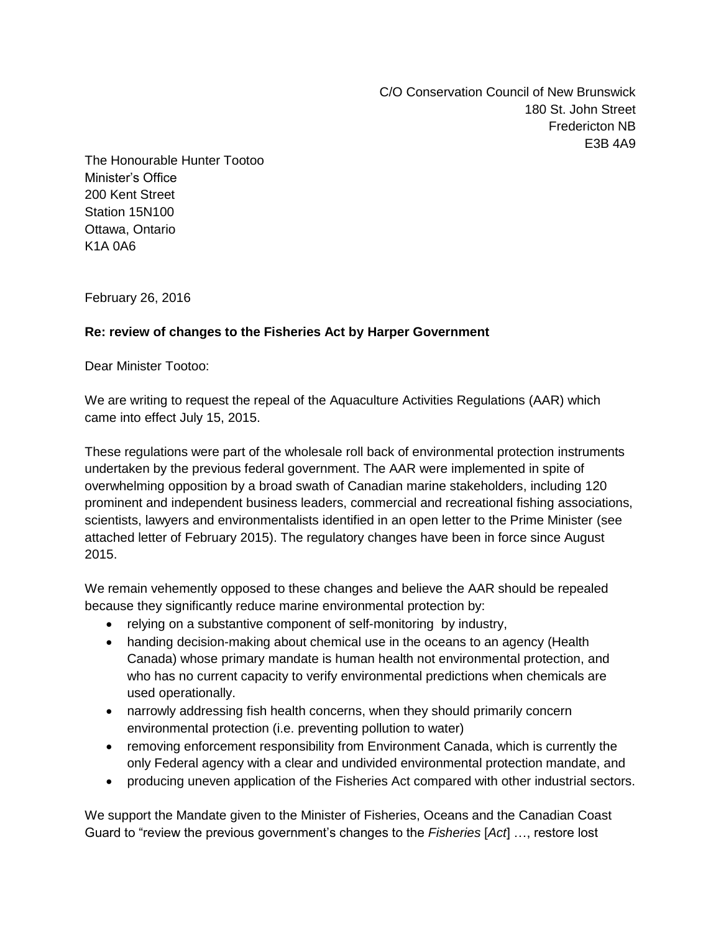C/O Conservation Council of New Brunswick 180 St. John Street Fredericton NB E3B 4A9

The Honourable Hunter Tootoo Minister's Office 200 Kent Street Station 15N100 Ottawa, Ontario K1A 0A6

February 26, 2016

## **Re: review of changes to the Fisheries Act by Harper Government**

Dear Minister Tootoo:

We are writing to request the repeal of the Aquaculture Activities Regulations (AAR) which came into effect July 15, 2015.

These regulations were part of the wholesale roll back of environmental protection instruments undertaken by the previous federal government. The AAR were implemented in spite of overwhelming opposition by a broad swath of Canadian marine stakeholders, including 120 prominent and independent business leaders, commercial and recreational fishing associations, scientists, lawyers and environmentalists identified in an open letter to the Prime Minister (see attached letter of February 2015). The regulatory changes have been in force since August 2015.

We remain vehemently opposed to these changes and believe the AAR should be repealed because they significantly reduce marine environmental protection by:

- relying on a substantive component of self-monitoring by industry,
- handing decision-making about chemical use in the oceans to an agency (Health Canada) whose primary mandate is human health not environmental protection, and who has no current capacity to verify environmental predictions when chemicals are used operationally.
- narrowly addressing fish health concerns, when they should primarily concern environmental protection (i.e. preventing pollution to water)
- removing enforcement responsibility from Environment Canada, which is currently the only Federal agency with a clear and undivided environmental protection mandate, and
- producing uneven application of the Fisheries Act compared with other industrial sectors.

We support the Mandate given to the Minister of Fisheries, Oceans and the Canadian Coast Guard to "review the previous government's changes to the *Fisheries* [*Act*] …, restore lost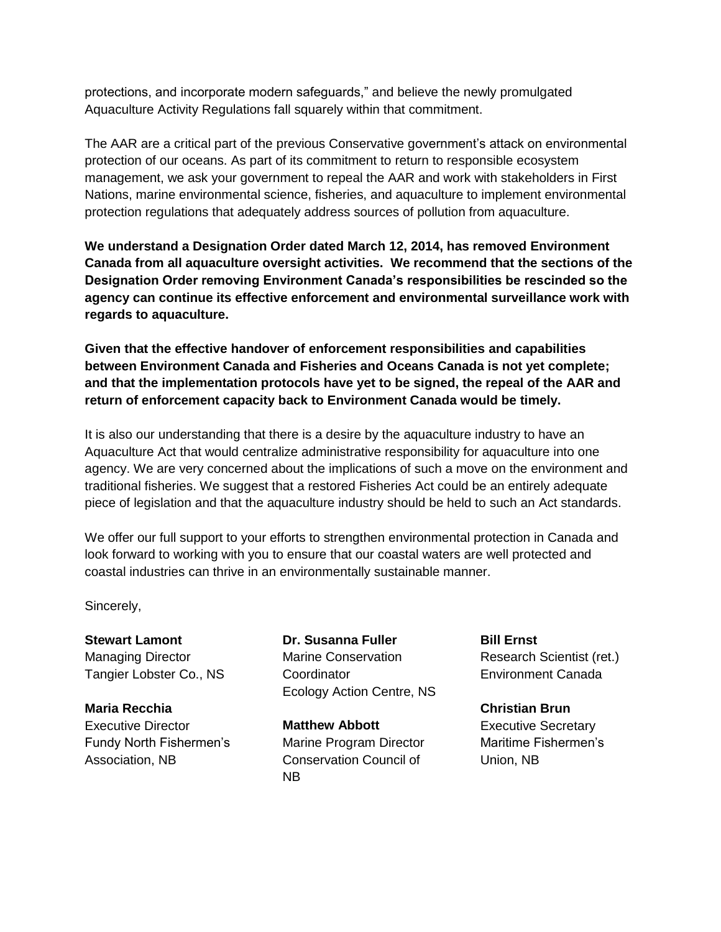protections, and incorporate modern safeguards," and believe the newly promulgated Aquaculture Activity Regulations fall squarely within that commitment.

The AAR are a critical part of the previous Conservative government's attack on environmental protection of our oceans. As part of its commitment to return to responsible ecosystem management, we ask your government to repeal the AAR and work with stakeholders in First Nations, marine environmental science, fisheries, and aquaculture to implement environmental protection regulations that adequately address sources of pollution from aquaculture.

**We understand a Designation Order dated March 12, 2014, has removed Environment Canada from all aquaculture oversight activities. We recommend that the sections of the Designation Order removing Environment Canada's responsibilities be rescinded so the agency can continue its effective enforcement and environmental surveillance work with regards to aquaculture.**

**Given that the effective handover of enforcement responsibilities and capabilities between Environment Canada and Fisheries and Oceans Canada is not yet complete; and that the implementation protocols have yet to be signed, the repeal of the AAR and return of enforcement capacity back to Environment Canada would be timely.** 

It is also our understanding that there is a desire by the aquaculture industry to have an Aquaculture Act that would centralize administrative responsibility for aquaculture into one agency. We are very concerned about the implications of such a move on the environment and traditional fisheries. We suggest that a restored Fisheries Act could be an entirely adequate piece of legislation and that the aquaculture industry should be held to such an Act standards.

We offer our full support to your efforts to strengthen environmental protection in Canada and look forward to working with you to ensure that our coastal waters are well protected and coastal industries can thrive in an environmentally sustainable manner.

Sincerely,

**Stewart Lamont** Managing Director Tangier Lobster Co., NS

**Maria Recchia** Executive Director Fundy North Fishermen's Association, NB

**Dr. Susanna Fuller** Marine Conservation **Coordinator** Ecology Action Centre, NS

**Matthew Abbott** Marine Program Director Conservation Council of NB

**Bill Ernst** Research Scientist (ret.) Environment Canada

**Christian Brun** Executive Secretary Maritime Fishermen's Union, NB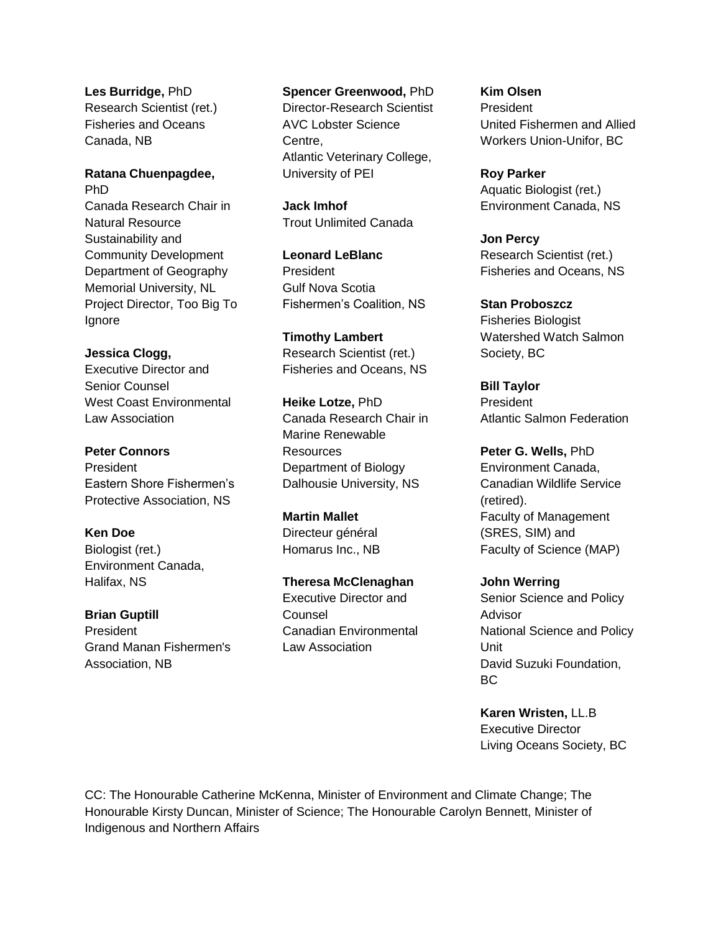**Les Burridge,** PhD Research Scientist (ret.) Fisheries and Oceans Canada, NB

**Ratana Chuenpagdee,** PhD Canada Research Chair in Natural Resource Sustainability and Community Development Department of Geography Memorial University, NL Project Director, Too Big To Ignore

**Jessica Clogg,**  Executive Director and Senior Counsel West Coast Environmental Law Association

**Peter Connors** President Eastern Shore Fishermen's Protective Association, NS

**Ken Doe** Biologist (ret.) Environment Canada, Halifax, NS

**Brian Guptill** President Grand Manan Fishermen's Association, NB

**Spencer Greenwood,** PhD

Director-Research Scientist AVC Lobster Science Centre, Atlantic Veterinary College, University of PEI

**Jack Imhof** Trout Unlimited Canada

**Leonard LeBlanc** President Gulf Nova Scotia Fishermen's Coalition, NS

**Timothy Lambert** Research Scientist (ret.) Fisheries and Oceans, NS

**Heike Lotze,** PhD Canada Research Chair in Marine Renewable Resources Department of Biology Dalhousie University, NS

**Martin Mallet** Directeur général Homarus Inc., NB

**Theresa McClenaghan** Executive Director and Counsel Canadian Environmental Law Association

**Kim Olsen** President United Fishermen and Allied Workers Union-Unifor, BC

**Roy Parker** Aquatic Biologist (ret.) Environment Canada, NS

**Jon Percy** Research Scientist (ret.) Fisheries and Oceans, NS

**Stan Proboszcz** Fisheries Biologist Watershed Watch Salmon Society, BC

**Bill Taylor** President Atlantic Salmon Federation

**Peter G. Wells,** PhD Environment Canada, Canadian Wildlife Service (retired). Faculty of Management (SRES, SIM) and Faculty of Science (MAP)

**John Werring** Senior Science and Policy Advisor National Science and Policy Unit David Suzuki Foundation, BC

**Karen Wristen,** LL.B Executive Director Living Oceans Society, BC

CC: The Honourable Catherine McKenna, Minister of Environment and Climate Change; The Honourable Kirsty Duncan, Minister of Science; The Honourable Carolyn Bennett, Minister of Indigenous and Northern Affairs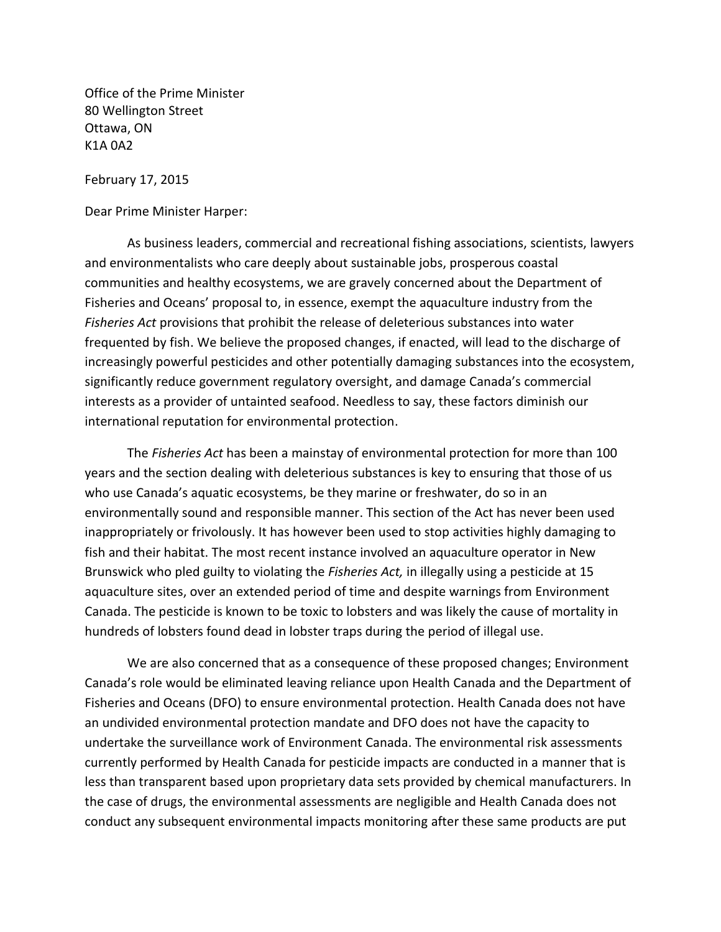Office of the Prime Minister 80 Wellington Street Ottawa, ON K1A 0A2

February 17, 2015

Dear Prime Minister Harper:

As business leaders, commercial and recreational fishing associations, scientists, lawyers and environmentalists who care deeply about sustainable jobs, prosperous coastal communities and healthy ecosystems, we are gravely concerned about the Department of Fisheries and Oceans' proposal to, in essence, exempt the aquaculture industry from the *Fisheries Act* provisions that prohibit the release of deleterious substances into water frequented by fish. We believe the proposed changes, if enacted, will lead to the discharge of increasingly powerful pesticides and other potentially damaging substances into the ecosystem, significantly reduce government regulatory oversight, and damage Canada's commercial interests as a provider of untainted seafood. Needless to say, these factors diminish our international reputation for environmental protection.

The *Fisheries Act* has been a mainstay of environmental protection for more than 100 years and the section dealing with deleterious substances is key to ensuring that those of us who use Canada's aquatic ecosystems, be they marine or freshwater, do so in an environmentally sound and responsible manner. This section of the Act has never been used inappropriately or frivolously. It has however been used to stop activities highly damaging to fish and their habitat. The most recent instance involved an aquaculture operator in New Brunswick who pled guilty to violating the *Fisheries Act,* in illegally using a pesticide at 15 aquaculture sites, over an extended period of time and despite warnings from Environment Canada. The pesticide is known to be toxic to lobsters and was likely the cause of mortality in hundreds of lobsters found dead in lobster traps during the period of illegal use.

We are also concerned that as a consequence of these proposed changes; Environment Canada's role would be eliminated leaving reliance upon Health Canada and the Department of Fisheries and Oceans (DFO) to ensure environmental protection. Health Canada does not have an undivided environmental protection mandate and DFO does not have the capacity to undertake the surveillance work of Environment Canada. The environmental risk assessments currently performed by Health Canada for pesticide impacts are conducted in a manner that is less than transparent based upon proprietary data sets provided by chemical manufacturers. In the case of drugs, the environmental assessments are negligible and Health Canada does not conduct any subsequent environmental impacts monitoring after these same products are put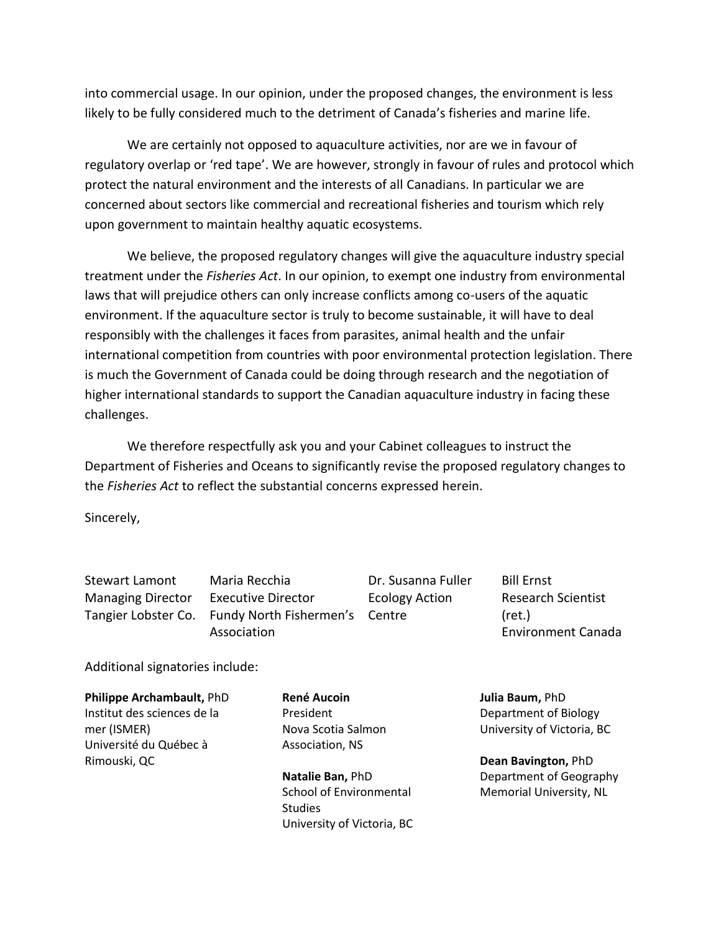into commercial usage. In our opinion, under the proposed changes, the environment is less likely to be fully considered much to the detriment of Canada's fisheries and marine life.

We are certainly not opposed to aquaculture activities, nor are we in favour of regulatory overlap or 'red tape'. We are however, strongly in favour of rules and protocol which protect the natural environment and the interests of all Canadians. In particular we are concerned about sectors like commercial and recreational fisheries and tourism which rely upon government to maintain healthy aquatic ecosystems.

We believe, the proposed regulatory changes will give the aquaculture industry special treatment under the *Fisheries Act*. In our opinion, to exempt one industry from environmental laws that will prejudice others can only increase conflicts among co-users of the aquatic environment. If the aquaculture sector is truly to become sustainable, it will have to deal responsibly with the challenges it faces from parasites, animal health and the unfair international competition from countries with poor environmental protection legislation. There is much the Government of Canada could be doing through research and the negotiation of higher international standards to support the Canadian aquaculture industry in facing these challenges.

We therefore respectfully ask you and your Cabinet colleagues to instruct the Department of Fisheries and Oceans to significantly revise the proposed regulatory changes to the *Fisheries Act* to reflect the substantial concerns expressed herein.

Sincerely,

Stewart Lamont Managing Director

Tangier Lobster Co. Fundy North Fishermen's Centre Maria Recchia Executive Director Association

Dr. Susanna Fuller Ecology Action

Bill Ernst Research Scientist (ret.) Environment Canada

Additional signatories include:

**Philippe Archambault,** PhD Institut des sciences de la mer (ISMER) Université du Québec à Rimouski, QC

**René Aucoin** President Nova Scotia Salmon Association, NS

**Natalie Ban,** PhD School of Environmental **Studies** University of Victoria, BC **Julia Baum,** PhD Department of Biology University of Victoria, BC

**Dean Bavington,** PhD Department of Geography Memorial University, NL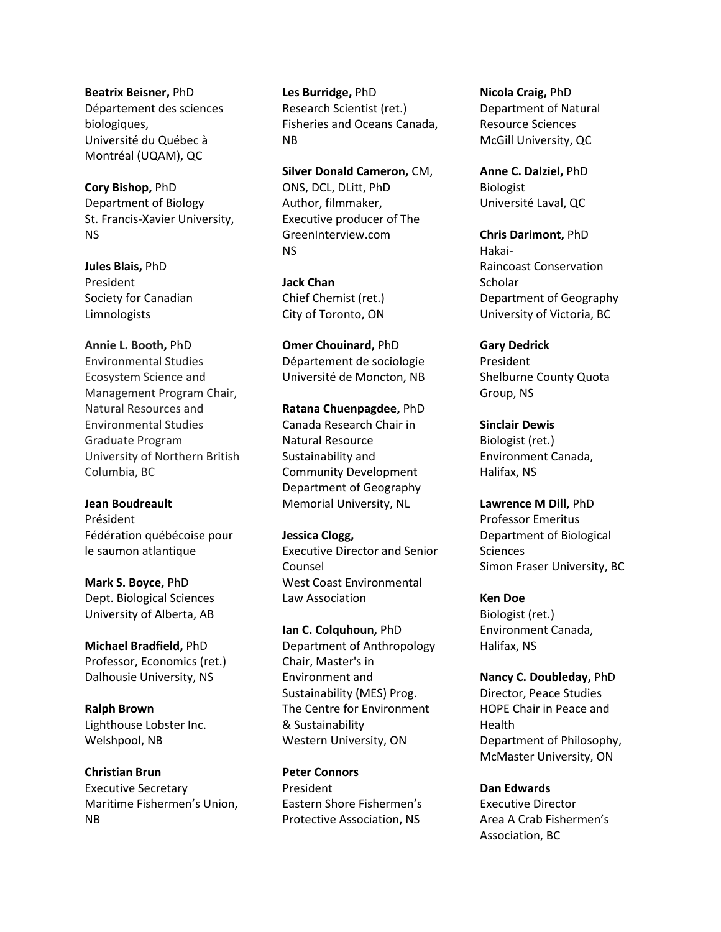**Beatrix Beisner,** PhD Département des sciences biologiques, Université du Québec à Montréal (UQAM), QC

**Cory Bishop,** PhD Department of Biology St. Francis-Xavier University, NS

**Jules Blais,** PhD President Society for Canadian Limnologists

## **Annie L. Booth,** PhD Environmental Studies Ecosystem Science and Management Program Chair, Natural Resources and Environmental Studies Graduate Program University of Northern British Columbia, BC

**Jean Boudreault** Président Fédération québécoise pour le saumon atlantique

**Mark S. Boyce,** PhD Dept. Biological Sciences University of Alberta, AB

**Michael Bradfield,** PhD Professor, Economics (ret.) Dalhousie University, NS

**Ralph Brown** Lighthouse Lobster Inc. Welshpool, NB

**Christian Brun** Executive Secretary Maritime Fishermen's Union, NB

**Les Burridge,** PhD Research Scientist (ret.) Fisheries and Oceans Canada, NB

**Silver Donald Cameron,** CM, ONS, DCL, DLitt, PhD Author, filmmaker, Executive producer of The GreenInterview.com NS

**Jack Chan** Chief Chemist (ret.) City of Toronto, ON

**Omer Chouinard,** PhD Département de sociologie Université de Moncton, NB

**Ratana Chuenpagdee,** PhD Canada Research Chair in Natural Resource Sustainability and Community Development Department of Geography Memorial University, NL

**Jessica Clogg,**  Executive Director and Senior Counsel West Coast Environmental Law Association

**Ian C. Colquhoun,** PhD Department of Anthropology Chair, Master's in Environment and Sustainability (MES) Prog. The Centre for Environment & Sustainability Western University, ON

**Peter Connors** President Eastern Shore Fishermen's Protective Association, NS

**Nicola Craig,** PhD Department of Natural Resource Sciences McGill University, QC

**Anne C. Dalziel,** PhD Biologist Université Laval, QC

**Chris Darimont,** PhD Hakai-Raincoast Conservation Scholar Department of Geography University of Victoria, BC

**Gary Dedrick** President Shelburne County Quota Group, NS

**Sinclair Dewis** Biologist (ret.) Environment Canada, Halifax, NS

**Lawrence M Dill,** PhD Professor Emeritus Department of Biological **Sciences** Simon Fraser University, BC

**Ken Doe** Biologist (ret.) Environment Canada, Halifax, NS

**Nancy C. Doubleday,** PhD Director, Peace Studies HOPE Chair in Peace and Health Department of Philosophy, McMaster University, ON

**Dan Edwards** Executive Director Area A Crab Fishermen's Association, BC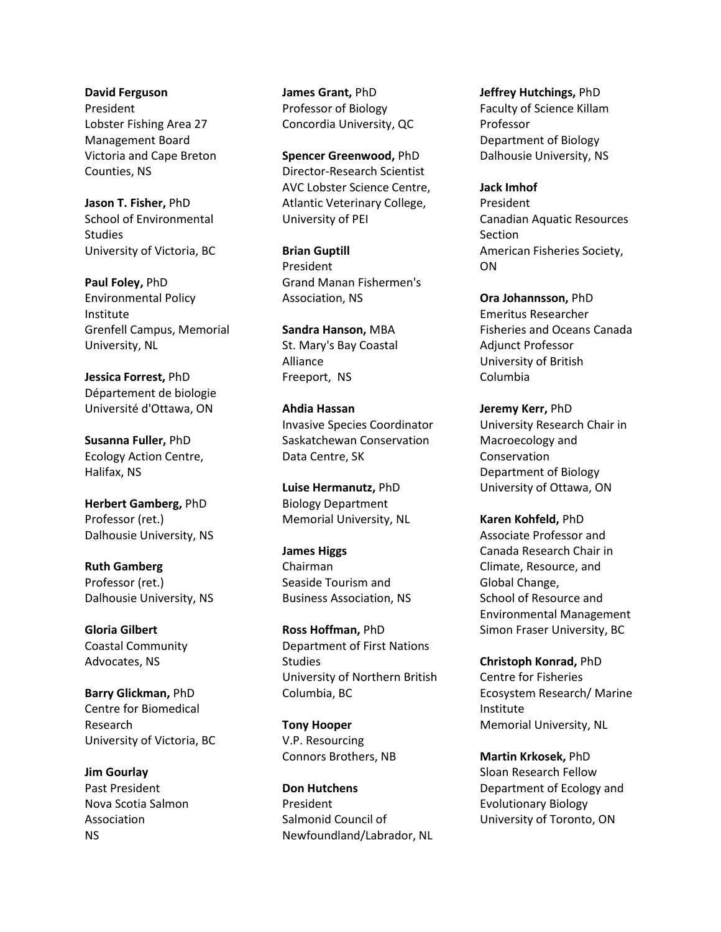**David Ferguson** President Lobster Fishing Area 27 Management Board Victoria and Cape Breton Counties, NS

**Jason T. Fisher,** PhD School of Environmental Studies University of Victoria, BC

**Paul Foley,** PhD Environmental Policy Institute Grenfell Campus, Memorial University, NL

**Jessica Forrest,** PhD Département de biologie Université d'Ottawa, ON

**Susanna Fuller,** PhD Ecology Action Centre, Halifax, NS

**Herbert Gamberg,** PhD Professor (ret.) Dalhousie University, NS

**Ruth Gamberg** Professor (ret.) Dalhousie University, NS

**Gloria Gilbert** Coastal Community Advocates, NS

**Barry Glickman,** PhD Centre for Biomedical Research University of Victoria, BC

**Jim Gourlay** Past President Nova Scotia Salmon Association NS

**James Grant,** PhD Professor of Biology Concordia University, QC

**Spencer Greenwood,** PhD Director-Research Scientist AVC Lobster Science Centre, Atlantic Veterinary College, University of PEI

**Brian Guptill** President Grand Manan Fishermen's Association, NS

**Sandra Hanson,** MBA St. Mary's Bay Coastal Alliance Freeport, NS

**Ahdia Hassan** Invasive Species Coordinator Saskatchewan Conservation Data Centre, SK

**Luise Hermanutz,** PhD Biology Department Memorial University, NL

**James Higgs** Chairman Seaside Tourism and Business Association, NS

**Ross Hoffman,** PhD Department of First Nations **Studies** University of Northern British Columbia, BC

**Tony Hooper** V.P. Resourcing Connors Brothers, NB

**Don Hutchens** President Salmonid Council of Newfoundland/Labrador, NL **Jeffrey Hutchings,** PhD Faculty of Science Killam Professor Department of Biology Dalhousie University, NS

**Jack Imhof** President Canadian Aquatic Resources Section American Fisheries Society, ON

**Ora Johannsson,** PhD Emeritus Researcher Fisheries and Oceans Canada Adjunct Professor University of British Columbia

**Jeremy Kerr,** PhD University Research Chair in Macroecology and Conservation Department of Biology University of Ottawa, ON

**Karen Kohfeld,** PhD Associate Professor and Canada Research Chair in Climate, Resource, and Global Change, School of Resource and Environmental Management Simon Fraser University, BC

**Christoph Konrad,** PhD Centre for Fisheries Ecosystem Research/ Marine Institute Memorial University, NL

**Martin Krkosek,** PhD Sloan Research Fellow Department of Ecology and Evolutionary Biology University of Toronto, ON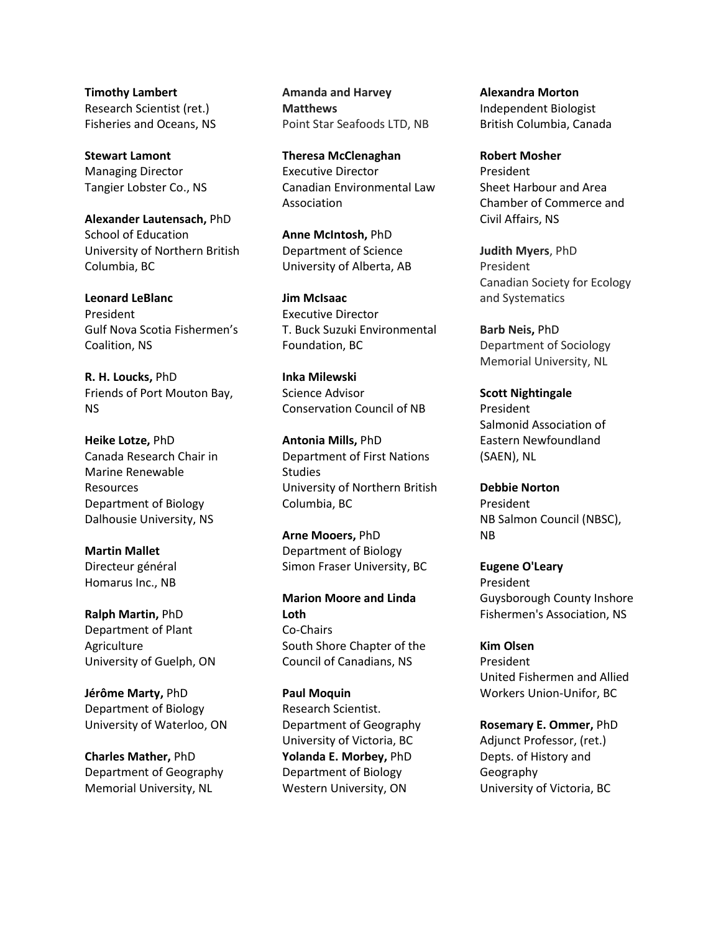**Timothy Lambert** Research Scientist (ret.) Fisheries and Oceans, NS

**Stewart Lamont** Managing Director Tangier Lobster Co., NS

**Alexander Lautensach,** PhD School of Education University of Northern British Columbia, BC

**Leonard LeBlanc** President Gulf Nova Scotia Fishermen's Coalition, NS

**R. H. Loucks,** PhD Friends of Port Mouton Bay, NS

**Heike Lotze,** PhD Canada Research Chair in Marine Renewable Resources Department of Biology Dalhousie University, NS

**Martin Mallet** Directeur général Homarus Inc., NB

**Ralph Martin,** PhD Department of Plant Agriculture University of Guelph, ON

**Jérôme Marty,** PhD Department of Biology University of Waterloo, ON

**Charles Mather,** PhD Department of Geography Memorial University, NL

**Amanda and Harvey Matthews** Point Star Seafoods LTD, NB

**Theresa McClenaghan** Executive Director Canadian Environmental Law Association

**Anne McIntosh,** PhD Department of Science University of Alberta, AB

**Jim McIsaac** Executive Director T. Buck Suzuki Environmental Foundation, BC

**Inka Milewski** Science Advisor Conservation Council of NB

**Antonia Mills,** PhD Department of First Nations Studies University of Northern British Columbia, BC

**Arne Mooers,** PhD Department of Biology Simon Fraser University, BC

**Marion Moore and Linda Loth** Co-Chairs South Shore Chapter of the Council of Canadians, NS

**Paul Moquin** Research Scientist. Department of Geography University of Victoria, BC **Yolanda E. Morbey,** PhD Department of Biology Western University, ON

**Alexandra Morton** Independent Biologist British Columbia, Canada

**Robert Mosher** President Sheet Harbour and Area Chamber of Commerce and Civil Affairs, NS

**Judith Myers**, PhD President Canadian Society for Ecology and Systematics

**Barb Neis,** PhD Department of Sociology Memorial University, NL

**Scott Nightingale** President Salmonid Association of Eastern Newfoundland (SAEN), NL

**Debbie Norton** President NB Salmon Council (NBSC), NB

**Eugene O'Leary** President Guysborough County Inshore Fishermen's Association, NS

**Kim Olsen** President United Fishermen and Allied Workers Union-Unifor, BC

**Rosemary E. Ommer,** PhD Adjunct Professor, (ret.) Depts. of History and Geography University of Victoria, BC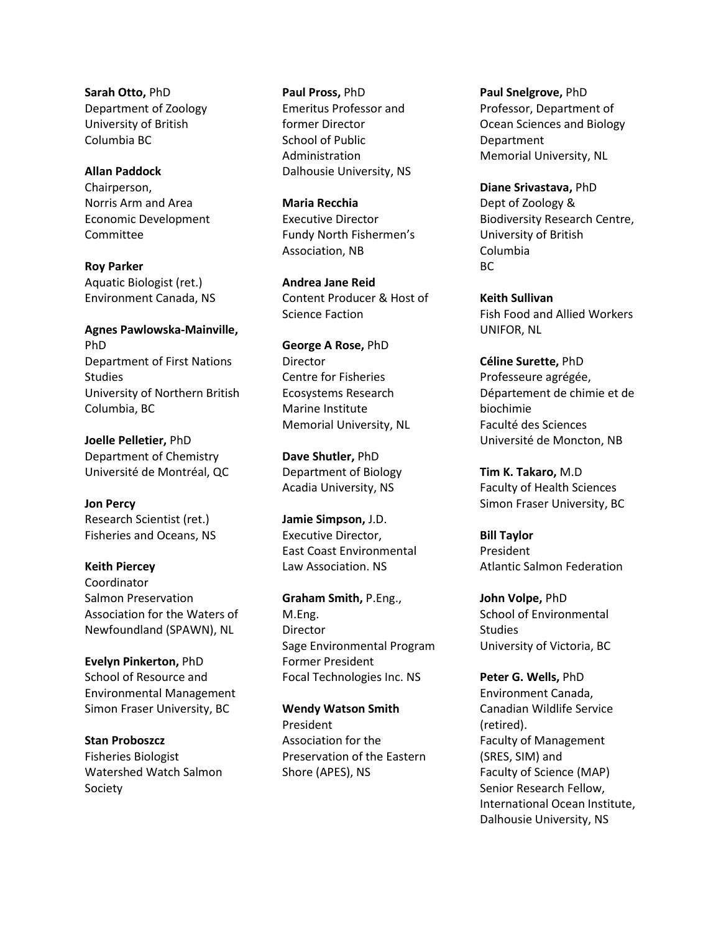**Sarah Otto,** PhD Department of Zoology University of British Columbia BC

## **Allan Paddock**

Chairperson, Norris Arm and Area Economic Development Committee

**Roy Parker** Aquatic Biologist (ret.) Environment Canada, NS

**Agnes Pawlowska-Mainville,** PhD Department of First Nations Studies University of Northern British Columbia, BC

**Joelle Pelletier,** PhD Department of Chemistry Université de Montréal, QC

**Jon Percy** Research Scientist (ret.) Fisheries and Oceans, NS

**Keith Piercey** Coordinator Salmon Preservation Association for the Waters of Newfoundland (SPAWN), NL

**Evelyn Pinkerton,** PhD School of Resource and Environmental Management Simon Fraser University, BC

**Stan Proboszcz** Fisheries Biologist Watershed Watch Salmon Society

**Paul Pross,** PhD Emeritus Professor and former Director School of Public Administration Dalhousie University, NS

**Maria Recchia** Executive Director Fundy North Fishermen's Association, NB

**Andrea Jane Reid** Content Producer & Host of Science Faction

**George A Rose,** PhD Director Centre for Fisheries Ecosystems Research Marine Institute Memorial University, NL

**Dave Shutler,** PhD Department of Biology Acadia University, NS

**Jamie Simpson,** J.D. Executive Director, East Coast Environmental Law Association. NS

**Graham Smith,** P.Eng., M.Eng. Director Sage Environmental Program Former President Focal Technologies Inc. NS

**Wendy Watson Smith** President Association for the Preservation of the Eastern Shore (APES), NS

**Paul Snelgrove,** PhD Professor, Department of Ocean Sciences and Biology Department Memorial University, NL

**Diane Srivastava,** PhD Dept of Zoology & Biodiversity Research Centre, University of British Columbia BC

**Keith Sullivan** Fish Food and Allied Workers UNIFOR, NL

**Céline Surette,** PhD Professeure agrégée, Département de chimie et de biochimie Faculté des Sciences Université de Moncton, NB

**Tim K. Takaro,** M.D Faculty of Health Sciences Simon Fraser University, BC

**Bill Taylor** President Atlantic Salmon Federation

**John Volpe,** PhD School of Environmental Studies University of Victoria, BC

**Peter G. Wells,** PhD Environment Canada, Canadian Wildlife Service (retired). Faculty of Management (SRES, SIM) and Faculty of Science (MAP) Senior Research Fellow, International Ocean Institute, Dalhousie University, NS